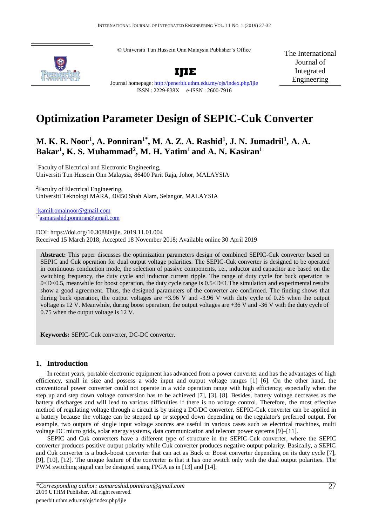© Universiti Tun Hussein Onn Malaysia Publisher's Office



**IJIE**

The International Journal of Integrated Engineering

Journal homepage:<http://penerbit.uthm.edu.my/ojs/index.php/ijie> ISSN : 2229-838X e-ISSN : 2600-7916

# **Optimization Parameter Design of SEPIC-Cuk Converter**

# **M. K. R. Noor<sup>1</sup> , A. Ponniran1\*, M. A. Z. A. Rashid<sup>1</sup> , J. N. Jumadril<sup>1</sup> , A. A. Bakar<sup>1</sup> , K. S. Muhammad<sup>2</sup> , M. H. Yatim<sup>1</sup>and A. N. Kasiran<sup>1</sup>**

<sup>1</sup>Faculty of Electrical and Electronic Engineering, Universiti Tun Hussein Onn Malaysia, 86400 Parit Raja, Johor, MALAYSIA

<sup>2</sup>Faculty of Electrical Engineering, Universiti Teknologi MARA, 40450 Shah Alam, Selangor, MALAYSIA

<sup>1</sup>[kamilromainoor@gmail.com](mailto:1kamilromainoor@gmail.com) 1\*[asmarashid.ponniran@gmail.com](mailto:asmarashid.ponniran@gmail.com)

DOI: https://doi.org/10.30880/ijie. 2019.11.01.004 Received 15 March 2018; Accepted 18 November 2018; Available online 30 April 2019

**Abstract:** This paper discusses the optimization parameters design of combined SEPIC-Cuk converter based on SEPIC and Cuk operation for dual output voltage polarities. The SEPIC-Cuk converter is designed to be operated in continuous conduction mode, the selection of passive components, i.e., inductor and capacitor are based on the switching frequency, the duty cycle and inductor current ripple. The range of duty cycle for buck operation is 0<D<0.5, meanwhile for boost operation, the duty cycle range is 0.5<D<1.The simulation and experimental results show a good agreement. Thus, the designed parameters of the converter are confirmed. The finding shows that during buck operation, the output voltages are +3.96 V and -3.96 V with duty cycle of 0.25 when the output voltage is 12 V. Meanwhile, during boost operation, the output voltages are +36 V and -36 V with the duty cycle of 0.75 when the output voltage is 12 V.

**Keywords:** SEPIC-Cuk converter, DC-DC converter.

# **1. Introduction**

In recent years, portable electronic equipment has advanced from a power converter and has the advantages of high efficiency, small in size and possess a wide input and output voltage ranges [1]–[6]. On the other hand, the conventional power converter could not operate in a wide operation range with high efficiency; especially when the step up and step down voltage conversion has to be achieved [7], [3], [8]. Besides, battery voltage decreases as the battery discharges and will lead to various difficulties if there is no voltage control. Therefore, the most effective method of regulating voltage through a circuit is by using a DC/DC converter. SEPIC-Cuk converter can be applied in a battery because the voltage can be stepped up or stepped down depending on the regulator's preferred output. For example, two outputs of single input voltage sources are useful in various cases such as electrical machines, multi voltage DC micro grids, solar energy systems, data communication and telecom power systems [9]–[11].

SEPIC and Cuk converters have a different type of structure in the SEPIC-Cuk converter, where the SEPIC converter produces positive output polarity while Cuk converter produces negative output polarity. Basically, a SEPIC and Cuk converter is a buck-boost converter that can act as Buck or Boost converter depending on its duty cycle [7], [9], [10], [12]. The unique feature of the converter is that it has one switch only with the dual output polarities. The PWM switching signal can be designed using FPGA as in [13] and [14].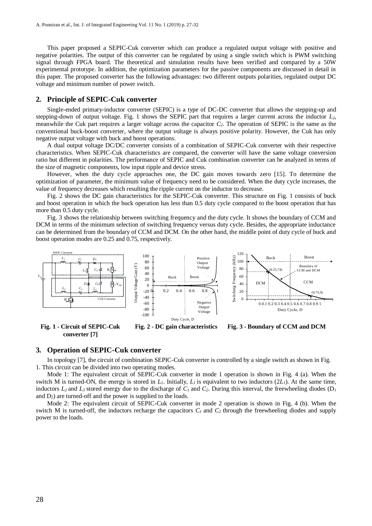This paper proposed a SEPIC-Cuk converter which can produce a regulated output voltage with positive and negative polarities. The output of this converter can be regulated by using a single switch which is PWM switching signal through FPGA board. The theoretical and simulation results have been verified and compared by a 50W experimental prototype. In addition, the optimization parameters for the passive components are discussed in detail in this paper. The proposed converter has the following advantages: two different outputs polarities, regulated output DC voltage and minimum number of power switch.

#### **2. Principle of SEPIC-Cuk converter**

Single-ended primary-inductor converter (SEPIC) is a type of DC-DC converter that allows the stepping-up and stepping-down of output voltage. Fig. 1 shows the SEPIC part that requires a larger current across the inductor *L2*, meanwhile the Cuk part requires a larger voltage across the capacitor *C2*. The operation of SEPIC is the same as the conventional buck-boost converter, where the output voltage is always positive polarity. However, the Cuk has only negative output voltage with buck and boost operations.

A dual output voltage DC/DC converter consists of a combination of SEPIC-Cuk converter with their respective characteristics. When SEPIC-Cuk characteristics are compared, the converter will have the same voltage conversion ratio but different in polarities. The performance of SEPIC and Cuk combination converter can be analyzed in terms of the size of magnetic components, low input ripple and device stress.

However, when the duty cycle approaches one, the DC gain moves towards zero [15]. To determine the optimization of parameter, the minimum value of frequency need to be considered. When the duty cycle increases, the value of frequency decreases which resulting the ripple current on the inductor to decrease.

Fig. 2 shows the DC gain characteristics for the SEPIC-Cuk converter. This structure on Fig. 1 consists of buck and boost operation in which the buck operation has less than 0.5 duty cycle compared to the boost operation that has more than 0.5 duty cycle.

Fig. 3 shows the relationship between switching frequency and the duty cycle. It shows the boundary of CCM and DCM in terms of the minimum selection of switching frequency versus duty cycle. Besides, the appropriate inductance can be determined from the boundary of CCM and DCM. On the other hand, the middle point of duty cycle of buck and boost operation modes are 0.25 and 0.75, respectively.



**Fig. 1 - Circuit of SEPIC-Cuk converter [7] Fig. 2 - DC gain characteristics Fig. 3 - Boundary of CCM and DCM**

#### **3. Operation of SEPIC-Cuk converter**

In topology [7], the circuit of combination SEPIC-Cuk converter is controlled by a single switch as shown in Fig. 1. This circuit can be divided into two operating modes.

Mode 1: The equivalent circuit of SEPIC-Cuk converter in mode 1 operation is shown in Fig. 4 (a). When the switch M is turned-ON, the energy is stored in  $L<sub>1</sub>$ . Initially,  $L<sub>1</sub>$  is equivalent to two inductors  $(2L<sub>1</sub>)$ . At the same time, inductors  $L_2$  and  $L_3$  stored energy due to the discharge of  $C_l$  and  $C_2$ . During this interval, the freewheeling diodes (D<sub>1</sub> and  $D_2$ ) are turned-off and the power is supplied to the loads.

Mode 2: The equivalent circuit of SEPIC-Cuk converter in mode 2 operation is shown in Fig. 4 (b). When the switch M is turned-off, the inductors recharge the capacitors  $C_I$  and  $C_2$  through the freewheeling diodes and supply power to the loads.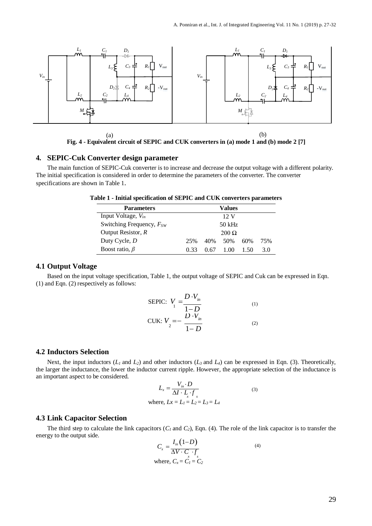

**Fig. 4 - Equivalent circuit of SEPIC and CUK converters in (a) mode 1 and (b) mode 2 [7]**

### **4. SEPIC-Cuk Converter design parameter**

The main function of SEPIC-Cuk converter is to increase and decrease the output voltage with a different polarity. The initial specification is considered in order to determine the parameters of the converter. The converter specifications are shown in Table 1.

|  |  | Table 1 - Initial specification of SEPIC and CUK converters parameters |  |  |
|--|--|------------------------------------------------------------------------|--|--|
|  |  |                                                                        |  |  |

| <b>Parameters</b>             |      |      | Values         |      |     |
|-------------------------------|------|------|----------------|------|-----|
| Input Voltage, $V_{in}$       |      |      | $12 \text{ V}$ |      |     |
| Switching Frequency, $F_{SW}$ |      |      | 50 kHz         |      |     |
| Output Resistor, $R$          |      |      | $200 \Omega$   |      |     |
| Duty Cycle, D                 | 25%  | 40%  | .50%           | 60%  | 75% |
| Boost ratio, $\beta$          | 0.33 | 0.67 | $-1.00$        | 1.50 | 3 O |

# **4.1 Output Voltage**

Based on the input voltage specification, Table 1, the output voltage of SEPIC and Cuk can be expressed in Eqn. (1) and Eqn. (2) respectively as follows:

SEPIC: 
$$
V_1 = \frac{D \cdot V_{in}}{1 - D}
$$
  
CUK:  $V_2 = -\frac{D \cdot V_{in}}{1 - D}$  (1)

#### **4.2 Inductors Selection**

Next, the input inductors  $(L_1 \text{ and } L_2)$  and other inductors  $(L_3 \text{ and } L_4)$  can be expressed in Eqn. (3). Theoretically, the larger the inductance, the lower the inductor current ripple. However, the appropriate selection of the inductance is an important aspect to be considered.

$$
L_x = \frac{V_{in} \cdot D}{\Delta I \cdot L \cdot f_s}
$$
  
where,  $Lx = L_1 = L_2 = L_3 = L_4$  (3)

# **4.3 Link Capacitor Selection**

The third step to calculate the link capacitors  $(C_I \text{ and } C_2)$ , Eqn. (4). The role of the link capacitor is to transfer the energy to the output side.

$$
C_x = \frac{I_{in}(1-D)}{\Delta V \cdot C \cdot f}
$$
  
where,  $C_x = \hat{C_1} = \hat{C_2}$  (4)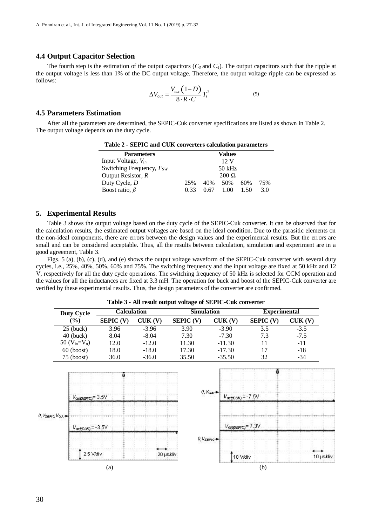#### **4.4 Output Capacitor Selection**

The fourth step is the estimation of the output capacitors  $(C_3$  and  $C_4$ ). The output capacitors such that the ripple at the output voltage is less than 1% of the DC output voltage. Therefore, the output voltage ripple can be expressed as follows:

$$
\Delta V_{out} = \frac{V_{out} (1 - D)}{8 \cdot R \cdot C} T_s^2 \tag{5}
$$

#### **4.5 Parameters Estimation**

After all the parameters are determined, the SEPIC-Cuk converter specifications are listed as shown in Table 2. The output voltage depends on the duty cycle.

| <b>Parameters</b>             |              |      | Values         |      |     |  |
|-------------------------------|--------------|------|----------------|------|-----|--|
| Input Voltage, $V_{in}$       |              |      | $12 \text{ V}$ |      |     |  |
| Switching Frequency, $F_{SW}$ | 50 kHz       |      |                |      |     |  |
| Output Resistor, $R$          | $200 \Omega$ |      |                |      |     |  |
| Duty Cycle, D                 | 25%          | 40%  | 50%            | 60%  | 75% |  |
| Boost ratio, $\beta$          | 0.33         | 0.67 | 100            | 1.50 | 3.0 |  |

**Table 2 - SEPIC and CUK converters calculation parameters**

#### **5. Experimental Results**

Table 3 shows the output voltage based on the duty cycle of the SEPIC-Cuk converter. It can be observed that for the calculation results, the estimated output voltages are based on the ideal condition. Due to the parasitic elements on the non-ideal components, there are errors between the design values and the experimental results. But the errors are small and can be considered acceptable. Thus, all the results between calculation, simulation and experiment are in a good agreement, Table 3.

Figs. 5 (a), (b), (c), (d), and (e) shows the output voltage waveform of the SEPIC-Cuk converter with several duty cycles, i.e., 25%, 40%, 50%, 60% and 75%. The switching frequency and the input voltage are fixed at 50 kHz and 12 V, respectively for all the duty cycle operations. The switching frequency of 50 kHz is selected for CCM operation and the values for all the inductances are fixed at 3.3 mH. The operation for buck and boost of the SEPIC-Cuk converter are verified by these experimental results. Thus, the design parameters of the converter are confirmed.

**Calculation Simulation Experimental Duty Cycle (%) SEPIC (V) CUK (V) SEPIC (V) CUK (V) SEPIC (V) CUK (V)** 25 (buck) 3.96 -3.96 3.90 -3.90 3.5 -3.5 40 (buck) 8.04 -8.04 7.30 -7.30 7.3 -7.5 50 ( $V_{in} = V_0$ ) 12.0 -12.0 11.30 -11.30 11 -11 60 (boost) 18.0 -18.0 17.30 -17.30 17 -18 75 (boost) 36.0 -36.0 35.50 -35.50 32 -34  $0, V_{0.0}$  $V_{\text{owqCCON}} = -7.5V$  $V_{\text{outSSEPC}} = 3.5V$ 0, Vsepro, Voca-Vorasericj=7.3V  $V_{\text{outCCA}} = -3.5V$  $0, V$ seric+ 2.5 Vidiv 20 µs/div 10 V/div 10 µs/div  $(a)$  (b)

**Table 3 - All result output voltage of SEPIC-Cuk converter**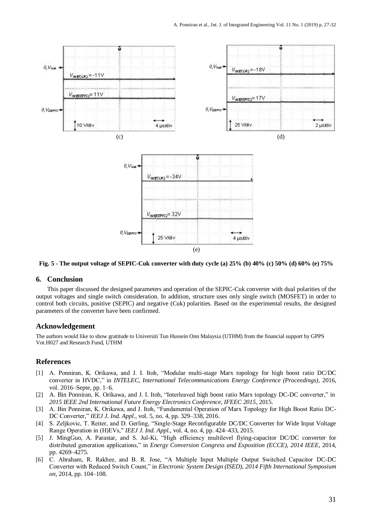

**Fig. 5 - The output voltage of SEPIC-Cuk converter with duty cycle (a) 25% (b) 40% (c) 50% (d) 60% (e) 75%**

## **6. Conclusion**

This paper discussed the designed parameters and operation of the SEPIC-Cuk converter with dual polarities of the output voltages and single switch consideration. In addition, structure uses only single switch (MOSFET) in order to control both circuits, positive (SEPIC) and negative (Cuk) polarities. Based on the experimental results, the designed parameters of the converter have been confirmed.

### **Acknowledgement**

The authors would like to show gratitude to Universiti Tun Hussein Onn Malaysia (UTHM) from the financial support by GPPS Vot.H027 and Research Fund, UTHM

## **References**

- [1] A. Ponniran, K. Orikawa, and J. I. Itoh, "Modular multi-stage Marx topology for high boost ratio DC/DC converter in HVDC," in *INTELEC, International Telecommunications Energy Conference (Proceedings)*, 2016, vol. 2016–Septe, pp. 1–6.
- [2] A. Bin Ponniran, K. Orikawa, and J. I. Itoh, "Interleaved high boost ratio Marx topology DC-DC converter," in *2015 IEEE 2nd International Future Energy Electronics Conference, IFEEC 2015*, 2015.
- [3] A. Bin Ponniran, K. Orikawa, and J. Itoh, "Fundamental Operation of Marx Topology for High Boost Ratio DC-DC Converter," *IEEJ J. Ind. Appl.*, vol. 5, no. 4, pp. 329–338, 2016.
- [4] S. Zeljkovic, T. Reiter, and D. Gerling, "Single-Stage Reconfigurable DC/DC Converter for Wide Input Voltage Range Operation in (H)EVs," *IEEJ J. Ind. Appl.*, vol. 4, no. 4, pp. 424–433, 2015.
- [5] J. MingGuo, A. Parastar, and S. Jul-Ki, "High efficiency multilevel flying-capacitor DC/DC converter for distributed generation applications," in *Energy Conversion Congress and Exposition (ECCE), 2014 IEEE*, 2014, pp. 4269–4275.
- [6] C. Abraham, R. Rakhee, and B. R. Jose, "A Multiple Input Multiple Output Switched Capacitor DC-DC Converter with Reduced Switch Count," in *Electronic System Design (ISED), 2014 Fifth International Symposium on*, 2014, pp. 104–108.